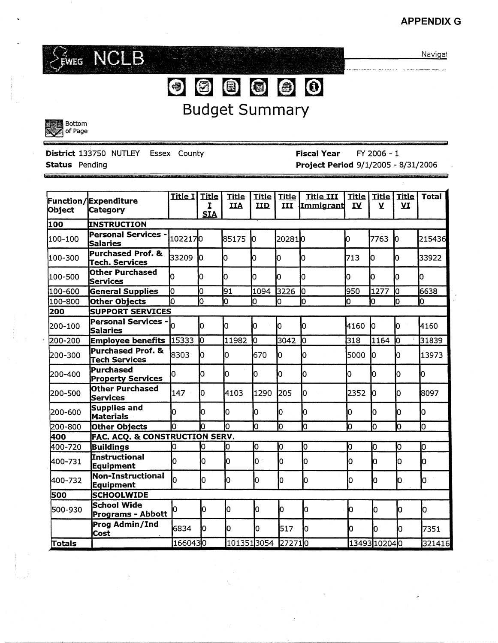### **APPENDIXG**



Navigat

··i?

# ~[@J~~~~ Budget Summary



**District** 133750 NUTLEY Essex County **Status** Pending

**Fiscal Year** FY 2006 - 1 **Project Period** 9/1/2005 - 8/31/2006

| Object  | Function/Expenditure<br>Category              | Title I | <b>Title</b><br>I<br><b>SIA</b> | <b>Title</b><br><b>IIA</b> | <b>Title</b><br>IID | <b>Title</b><br>III | <b>Title III</b><br><b>Immigrant</b> | <b>Title</b><br>IV | <b>Title</b><br>$\mathbf v$ | <b>Title</b><br>VI | <b>Total</b> |
|---------|-----------------------------------------------|---------|---------------------------------|----------------------------|---------------------|---------------------|--------------------------------------|--------------------|-----------------------------|--------------------|--------------|
| 100     | <b>INSTRUCTION</b>                            |         |                                 |                            |                     |                     |                                      |                    |                             |                    |              |
| 100-100 | <b>Personal Services</b><br>Salaries          | 1022170 |                                 | 85175                      | lo.                 | 202810              |                                      | ю                  | 7763                        | In.                | 215436       |
| 100-300 | Purchased Prof. &<br>Tech. Services           | 33209   | <b>Ю</b>                        | lо                         | Ю                   | IО                  | Ю                                    | 713                | ю                           | lo.                | 33922        |
| 100-500 | <b>Other Purchased</b><br><b>Services</b>     | n       | Iо                              | b                          | Ō                   | n                   | n                                    | lo.                | ю                           | n                  | n            |
| 100-600 | <b>General Supplies</b>                       | О       | o                               | 91                         | 1094                | 3226                | ю                                    | 950                | 1277                        | ю                  | 6638         |
| 100-800 | Other Objects                                 | b       | lo                              | Ю                          | Ю                   | 0                   | lo                                   | Ю                  | Ю                           | n                  | n            |
| 200     | <b>SUPPORT SERVICES</b>                       |         |                                 |                            |                     |                     |                                      |                    |                             |                    |              |
| 200-100 | <b>Personal Services -</b><br>Salaries        |         | Iо                              | ю                          | Iо                  | Ю                   | Ю                                    | 4160               | ю                           | n                  | 4160         |
| 200-200 | <b>Employee benefits</b>                      | 15333   | ю                               | 11982                      | Ю                   | 3042                | lо                                   | 318                | 1164                        | 10                 | 31839        |
| 200-300 | <b>Purchased Prof. &amp;</b><br>Tech Services | 8303    | O                               | o                          | 670                 | lo.                 | O                                    | 5000               | lo                          | lО                 | 13973        |
| 200-400 | Purchased<br><b>Property Services</b>         | Ю       | ю                               | ю                          | Ю                   | 0                   | ю                                    | ю                  | IО                          | Ю                  | Iо           |
| 200-500 | Other Purchased<br><b>Services</b>            | 147     | lo.                             | 4103                       | 1290                | 205                 | 'n                                   | 2352               | lо                          | lo.                | 8097         |
| 200-600 | Supplies and<br>Materials                     | n       | 0                               | l0                         | ю                   | l0                  | lo                                   | o                  | o                           | Iо                 | Ю            |
| 200-800 | Other Objects                                 | lo      | b                               | h                          | lо                  | lο                  | Iо                                   | o                  | Ю                           | Ю                  | lo           |
| 400     | FAC. ACQ. & CONSTRUCTION SERV.                |         |                                 |                            |                     |                     |                                      |                    |                             |                    |              |
| 400-720 | <b>Buildings</b>                              | Ю       | 0                               | O                          | ю                   | ю                   | Ю                                    | 0                  | Ю                           | lО                 | O            |
| 400-731 | Instructional<br>Equipment                    | lо      | o                               | Iо                         | $\mathsf{O}^+$      | ۱O                  | o                                    | 0                  | Ю                           | 0                  | o            |
| 400-732 | Non-Instructional<br><b>Equipment</b>         | h       | Iо                              | Iо                         | Ю                   | ۱O                  | ۱O                                   | Ю                  | Ю                           | O.                 | O            |
| 500     | <b>SCHOOLWIDE</b>                             |         |                                 |                            |                     |                     |                                      |                    |                             |                    |              |
| 500-930 | School Wide<br>Programs - Abbott              | N       | Iо                              | Ю                          | Iо                  | Ю                   | lо                                   | Ю                  | lo.                         | l0                 | lо           |
|         | Prog Admin/Ind<br>Cost                        | 6834    | n                               | Iо                         | n                   | 517                 | h                                    | Ю                  | lo.                         | h                  | 7351         |
| Totals  |                                               | 1660430 |                                 | 1013513054                 |                     | 272710              |                                      |                    | 13493102040                 |                    | 321416       |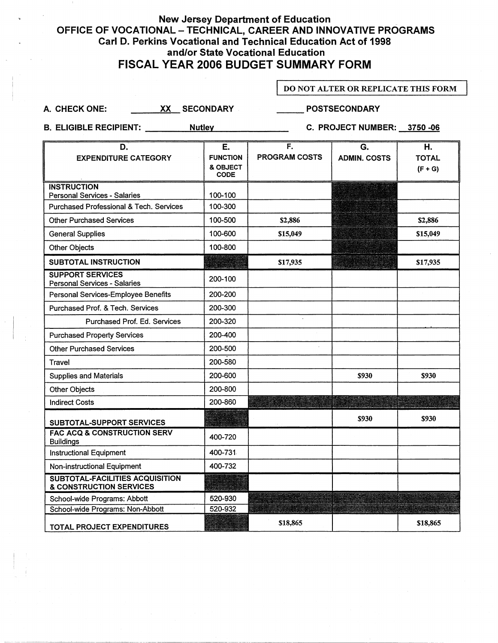### New Jersey Department of Education OFFICE OF VOCATIONAL - TECHNICAL, CAREER AND INNOVATIVE PROGRAMS Carl D. Perkins Vocational and Technical Education Act of 1998 and/or State Vocational Education FISCAL YEAR 2006 BUDGET **SUMMARY** FORM

#### DO NOT ALTER OR REPLICATE THIS FORM

A. CHECK ONE: \_\_\_\_\_\_\_ XX\_\_ SECONDARY \_\_\_\_\_\_\_\_\_ POSTSECONDARY

B. ELIGIBLE RECIPIENT: Nutley Nutley C. PROJECT NUMBER: 3750 -06

| D.                                                                | Е.                      | F.                   | G.                  | Η.           |
|-------------------------------------------------------------------|-------------------------|----------------------|---------------------|--------------|
| <b>EXPENDITURE CATEGORY</b>                                       | <b>FUNCTION</b>         | <b>PROGRAM COSTS</b> | <b>ADMIN. COSTS</b> | <b>TOTAL</b> |
|                                                                   | & OBJECT<br><b>CODE</b> |                      |                     | $(F + G)$    |
| <b>INSTRUCTION</b>                                                |                         |                      |                     |              |
| Personal Services - Salaries                                      | 100-100                 |                      |                     |              |
| Purchased Professional & Tech. Services                           | 100-300                 |                      |                     |              |
| <b>Other Purchased Services</b>                                   | 100-500                 | \$2,886              |                     | \$2,886      |
| <b>General Supplies</b>                                           | 100-600                 | \$15,049             |                     | \$15,049     |
| <b>Other Objects</b>                                              | 100-800                 |                      |                     |              |
| SUBTOTAL INSTRUCTION                                              |                         | \$17,935             |                     | \$17,935     |
| <b>SUPPORT SERVICES</b><br>Personal Services - Salaries           | 200-100                 |                      |                     |              |
| Personal Services-Employee Benefits                               | 200-200                 |                      |                     |              |
| Purchased Prof. & Tech. Services                                  | 200-300                 |                      |                     |              |
| Purchased Prof. Ed. Services                                      | 200-320                 |                      |                     |              |
| <b>Purchased Property Services</b>                                | 200-400                 |                      |                     |              |
| <b>Other Purchased Services</b>                                   | 200-500                 |                      |                     |              |
| Travel                                                            | 200-580                 |                      |                     |              |
| <b>Supplies and Materials</b>                                     | 200-600                 |                      | <b>\$930</b>        | \$930        |
| Other Objects                                                     | 200-800                 |                      |                     |              |
| <b>Indirect Costs</b>                                             | 200-860                 |                      |                     |              |
| SUBTOTAL-SUPPORT SERVICES                                         |                         |                      | \$930               | \$930        |
| <b>FAC ACQ &amp; CONSTRUCTION SERV</b><br><b>Buildings</b>        | 400-720                 |                      |                     |              |
| <b>Instructional Equipment</b>                                    | 400-731                 |                      |                     |              |
| Non-instructional Equipment                                       | 400-732                 |                      |                     |              |
| <b>SUBTOTAL-FACILITIES ACQUISITION</b><br>& CONSTRUCTION SERVICES |                         |                      |                     |              |
| School-wide Programs: Abbott                                      | 520-930                 |                      |                     |              |
| School-wide Programs: Non-Abbott                                  | 520-932                 |                      |                     |              |
| <b>TOTAL PROJECT EXPENDITURES</b>                                 |                         | \$18,865             |                     | \$18,865     |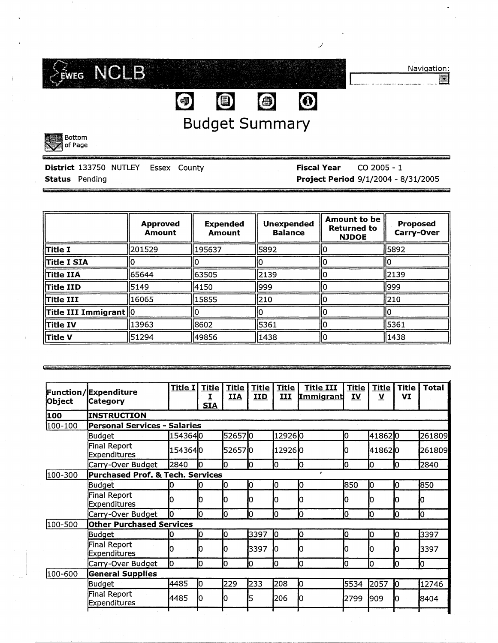

Navigation:

[ \_\_\_\_\_\_\_ .... ----... ·------··-- . ---- .. II

# Budget Summary

 $\bigcirc$ 

**@** @ 0

*J* 



| ______                |                                            |  |                                  |                                            |
|-----------------------|--------------------------------------------|--|----------------------------------|--------------------------------------------|
|                       |                                            |  |                                  |                                            |
|                       | <b>District 133750 NUTLEY Essex County</b> |  | <b>Fiscal Year</b> $CO 2005 - 1$ |                                            |
| <b>Status</b> Pending |                                            |  |                                  | <b>Project Period 9/1/2004 - 8/31/2005</b> |

| <b>Approved</b><br><b>Amount</b> |                  | <b>Expended</b><br>Amount | <b>Unexpended</b><br><b>Balance</b> | <b>Amount to be</b><br><b>Returned to</b><br><b>NJDOE</b> | Proposed<br>Carry-Over |  |
|----------------------------------|------------------|---------------------------|-------------------------------------|-----------------------------------------------------------|------------------------|--|
| <b>Title I</b>                   | 201529           | 195637                    | 5892                                |                                                           | 5892                   |  |
| <b>Title I SIA</b>               |                  |                           |                                     |                                                           |                        |  |
| <b>Title IIA</b>                 | 165644<br>163505 |                           | 2139                                |                                                           | 12139                  |  |
| $\ $ Title IID                   | 5149             | 4150                      | 1999                                |                                                           | 1999                   |  |
| Title III                        | 16065            | 15855                     | 210                                 |                                                           | 1210                   |  |
| $\ $ Title III Immigrant $\ 0\ $ |                  |                           |                                     |                                                           |                        |  |
| Title IV                         | 13963<br>8602    |                           | 5361                                |                                                           | 5361                   |  |
| Title V<br>51294<br>49856        |                  | 1438                      |                                     | 1438                                                      |                        |  |

| Object  | <b>Function/Expenditure</b><br><b>Category</b> | Title I                      | <b>Title</b><br><b>SIA</b> | <u>Title</u><br><b>IIA</b> | <b>Title</b><br><b>IID</b> | <b>Title</b><br>ш | <b>Title III</b><br><b>Immigrant</b> | <b>Title</b><br>IV | <b>Title</b><br>y | Title<br>VI | <b>Total</b> |
|---------|------------------------------------------------|------------------------------|----------------------------|----------------------------|----------------------------|-------------------|--------------------------------------|--------------------|-------------------|-------------|--------------|
| 100     | <b>INSTRUCTION</b>                             |                              |                            |                            |                            |                   |                                      |                    |                   |             |              |
| 100-100 |                                                | Personal Services - Salaries |                            |                            |                            |                   |                                      |                    |                   |             |              |
|         | Budget                                         | 1543640                      |                            | 526570                     |                            | 129260            |                                      | Ю.                 | 418620            |             | 261809       |
|         | Final Report<br>Expenditures                   | 154364 <b>1</b> 0            |                            | 526570                     |                            | 129260            |                                      | n                  | 418620            |             | 261809       |
|         | Carry-Over Budget                              | 2840                         |                            | Ю                          | O                          | O                 | IО                                   | Ю                  | O                 | Ю           | 2840         |
| 100-300 | Purchased Prof. & Tech. Services               |                              |                            |                            |                            |                   | A                                    |                    |                   |             |              |
|         | Budget                                         | 0                            |                            | 10                         | O                          | 10                | 10                                   | 850                | 10                | 10          | 850          |
|         | Final Report<br>Expenditures                   | 0                            |                            | Ю                          | 0                          |                   |                                      | ი                  |                   |             |              |
|         | Carry-Over Budget                              | Ю                            | Iо                         | Ю                          | 0                          | Ю                 | 10                                   | 10                 | Ю                 | 10          | 10           |
| 100-500 | <b>Other Purchased Services</b>                |                              |                            |                            |                            |                   |                                      |                    |                   |             |              |
|         | Budget                                         | 0                            | Ю                          | Ю                          | 3397                       | 10                | Iо                                   | Ю                  | IО                | 10          | 3397         |
|         | Final Report<br>Expenditures                   | o                            |                            | Ю                          | 3397                       | Ю                 |                                      | 0                  |                   |             | 3397         |
|         | Carry-Over Budget                              | Iо                           | lo                         | 10                         | O                          | Ю                 | Iо                                   | Ю                  | lO                | Ю           | Ю            |
| 100-600 | <b>General Supplies</b>                        |                              |                            |                            |                            |                   |                                      |                    |                   |             |              |
|         | Budget                                         | 4485                         | 10                         | 229                        | 233                        | 208               | Ю                                    | 5534               | 2057              | Ю           | 12746        |
|         | Final Report<br>Expenditures                   | 4485                         |                            |                            | 5                          | 206               |                                      | 2799               | 909               |             | 8404         |
|         |                                                |                              |                            |                            |                            |                   |                                      |                    |                   |             |              |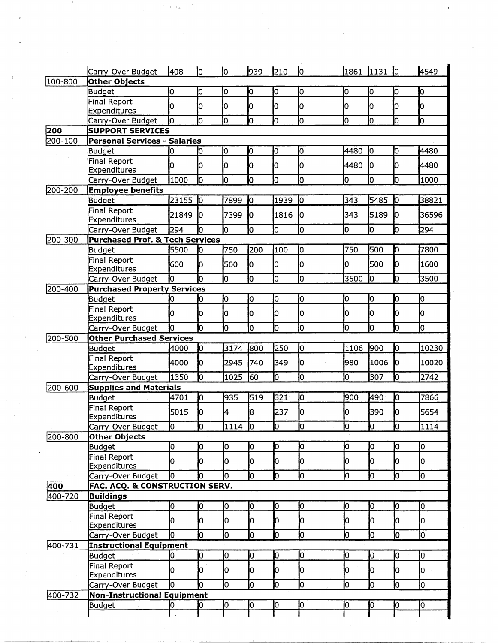|                | Carry-Over Budget                                              | 408        | lo.                  | lo.      | 939 | 210             | <b>l</b> o |                 | 1861 1131 0    |                 | 4549                    |
|----------------|----------------------------------------------------------------|------------|----------------------|----------|-----|-----------------|------------|-----------------|----------------|-----------------|-------------------------|
| 100-800        | Other Objects                                                  |            |                      |          |     |                 |            |                 |                |                 |                         |
|                | Budget                                                         | o          | O                    | 10       | Ю   | o               | lo         | 0               | O              | Ю               | Ю                       |
|                | Final Report                                                   | o          | 0                    | 10       | lO  | lо              | Iо         | 10              | Ю              | Iо              | 0                       |
|                | <b>Expenditures</b>                                            |            |                      |          |     |                 |            |                 |                |                 |                         |
|                | Carry-Over Budget                                              | Ю          | h                    | Iо       | lО  | lо              | Го         | O               | lо             | O               | lo                      |
| 200<br>200-100 | <b>SUPPORT SERVICES</b><br><b>Personal Services - Salaries</b> |            |                      |          |     |                 |            |                 |                |                 |                         |
|                | Budget                                                         | ю          | ю                    | lо       | Ю   | О               | lо         | 4480            | ю              | lо              | 4480                    |
|                | Final Report                                                   |            |                      |          |     |                 |            |                 |                |                 |                         |
|                | Expenditures                                                   | ю          | O                    | Iо       | ю   | Ю               | lо         | 4480            | lo.            | Ю               | 4480                    |
|                | Carry-Over Budget                                              | 1000       | h                    | o        | ю   | o               | Ю          | o               | o              | o               | 1000                    |
| 200-200        | <b>Employee benefits</b>                                       |            |                      |          |     |                 |            |                 |                |                 |                         |
|                | Budget                                                         | 23155      | $\mathbf{I}^{\circ}$ | 7899     | Ю   | 1939            | ю          | 343             | 5485           | Ю               | 38821                   |
|                | Final Report                                                   | 21849      | 10                   | 7399     | l0  | 1816            | Ю          | 343             | 5189           | 10              | 36596                   |
|                | Expenditures                                                   |            |                      |          |     |                 |            |                 |                |                 |                         |
|                | Carry-Over Budget                                              | 294        | l٥                   | lo       | lо  | lо              | o          | o               | o              | Iо              | 294                     |
| 200-300        | <b>Purchased Prof. &amp; Tech Services</b>                     |            |                      |          |     |                 |            |                 |                |                 |                         |
|                | Budget                                                         | 5500       | Ю                    | 750      | 200 | 100             | lо         | 750             | 500            | 10              | 7800                    |
|                | Final Report                                                   | 600        | Ю                    | 500      | O   | Iо              | lо         | 0               | 500            | Ю               | 1600                    |
|                | Expenditures                                                   |            |                      |          |     |                 | Ю          |                 | Ю              |                 |                         |
|                | Carry-Over Budget                                              | l0         | h                    | lо       | lо  | lо              |            | 3500            |                | lо              | 3500                    |
| 200-400        | <b>Purchased Property Services</b><br><b>Budget</b>            | lO         | lО                   | Iо       | lО  | o               | Ю          | o               | lо             | 10              | 10                      |
|                | Final Report                                                   |            |                      |          |     |                 |            |                 |                |                 |                         |
|                | Expenditures                                                   | Iо         | lO                   | lО       | lО  | Ю               | O          | 0               | Ю              | Ю               | Ю                       |
|                | Carry-Over Budget                                              | Iо         | Iо                   | lо       | o   | O               | Ю          | ю               | Ю              | o               | lо                      |
| 200-500        | <b>Other Purchased Services</b>                                |            |                      |          |     |                 |            |                 |                |                 |                         |
|                | Budget                                                         | 4000       | lо                   | 3174     | 800 | 250             | lо         | 1106            | 900            | lо              | 10230                   |
|                | Final Report                                                   | 4000       | lo.                  | 2945     | 740 | 349             | lо         | 980             | 1006           | Iо              | 10020                   |
|                | Expenditures                                                   |            |                      |          |     |                 |            |                 |                |                 |                         |
|                | Carry-Over Budget                                              | 1350       | ю                    | 1025     | 60  | Ō               | Ю          | O               | 307            | 10              | 2742                    |
| 200-600        | <b>Supplies and Materials</b>                                  |            |                      |          |     |                 |            |                 |                |                 |                         |
|                | <b>Budget</b>                                                  | 4701       | ю                    | 935      | 519 | 321             | Ю          | 900             | 490            | Ю               | 7866                    |
|                | Final Report<br>Expenditures                                   | 5015       | n                    | l4       | 18  | 237             | lо         | l0              | 390            | Ю               | 5654                    |
|                | Carry-Over Budget                                              | $\sqrt{2}$ | lо                   | $1114$ 0 |     | $\overline{10}$ | $\sqrt{2}$ | $\overline{10}$ | $\overline{0}$ | $\overline{10}$ | 1114                    |
| 200-800        | <b>Other Objects</b>                                           |            |                      |          |     |                 |            |                 |                |                 |                         |
|                | <b>Budget</b>                                                  | o          | Iо                   | lо       | lо  | ю               | Jо         | Ю               | Iо             | 10              | lо                      |
|                | <b>Final Report</b>                                            |            |                      |          |     |                 |            |                 |                |                 |                         |
|                | <b>Expenditures</b>                                            | l0         | lo.                  | O        | Ю   | 10              | Iо         | 10              | Ю              | Ю               | Iо                      |
|                | Carry-Over Budget                                              | <b>l</b> o | lо                   | lо       | lо  | Ю               | 10         | lо              | Ю              | $\overline{10}$ | $\overline{\mathsf{I}}$ |
| 400            | FAC. ACQ. & CONSTRUCTION SERV.                                 |            |                      |          |     |                 |            |                 |                |                 |                         |
| 400-720        | <b>Buildings</b>                                               |            |                      |          |     |                 |            |                 |                |                 |                         |
|                | Budget                                                         | o          | Iо                   | lо       | lo. | Ю               | ю          | 0               | lо             | 0               | Iо                      |
|                | <b>Final Report</b>                                            | lo.        | Ю                    | O        | lо  | Iо              | Iо         | Ю               | Iо             | lo.             | Iо                      |
|                | <b>Expenditures</b>                                            |            |                      |          |     |                 |            |                 |                |                 |                         |
|                | Carry-Over Budget                                              | h          | lo                   | Ю        | o   | lо              | o          | lо              | Ю              | o               | lo                      |
| 400-731        | <b>Instructional Equipment</b>                                 |            |                      |          |     |                 |            |                 |                |                 |                         |
|                | Budget                                                         | 10         | lо                   | lо       | lо  | lо              | lо         | O               | O              | 0               | Iо                      |
|                | <b>Final Report</b><br>Expenditures                            | O.         | $\sim$ 1<br>l0.      | 10       | Iо  | Iо              | Iо         | Ю               | Ю              | 10              | IО                      |
|                | Carry-Over Budget                                              | Ю          | lо                   | lо       | o   | lо              | lo         | O               | lo             | lо              | Iо                      |
| 400-732        | <b>Non-Instructional Equipment</b>                             |            |                      |          |     |                 |            |                 |                |                 |                         |
|                | Budget                                                         | 0          | 10                   | Ю        | lо  | lо              | Jо         | Ю               | 10             | 0               | lо                      |
|                |                                                                |            |                      |          |     |                 |            |                 |                |                 |                         |
|                |                                                                |            |                      |          |     |                 |            |                 |                |                 |                         |

 $\frac{1}{\sqrt{2}}\sum_{i=1}^{n-1}\frac{1}{\sqrt{2}}\left(\frac{1}{\sqrt{2}}\right)^{i}$ 

 $\frac{1}{2}$  ,  $\frac{1}{2}$ 

 $\frac{1}{2}$ 

 $\langle \cdot \rangle$ 

 $\label{eq:2.1} \mathcal{P}=\left\{ \mathbb{E}_{\mathbf{a}}\left[ \mathcal{P}^{\mathcal{A}}\right] \right\} ^{\mathcal{A}}\left\{ \mathbb{E}_{\mathbf{a}}\left[ \mathcal{P}^{\mathcal{A}}\right] \right\} ^{\mathcal{A}}$ 

 $\epsilon$ 

 $\sim$ r $^{\circ}$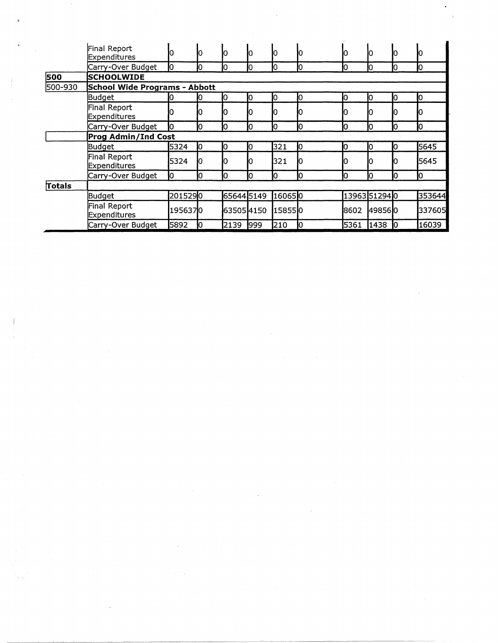|         | Final Report<br>Expenditures  |         |    | 10         | Ю   |        |    | Ю    |               |   | Ю      |  |
|---------|-------------------------------|---------|----|------------|-----|--------|----|------|---------------|---|--------|--|
|         | Carry-Over Budget             | Ю       | Ю  | 10         | Ю   | Ю      | 10 | Ю    | 10            |   | 10     |  |
| 500     | <b>SCHOOLWIDE</b>             |         |    |            |     |        |    |      |               |   |        |  |
| 500-930 | School Wide Programs - Abbott |         |    |            |     |        |    |      |               |   |        |  |
|         | Budget                        | 0       |    | 10         | 10  | 10     | Ю  | 10   | Ю             |   | 0      |  |
|         | Final Report<br>Expenditures  |         | Ю  | 10         |     |        |    |      |               |   | Ю      |  |
|         | Carry-Over Budget             | 10      | Ю  | Ю          | 10  | 10     | 10 | 10   | 10            | Ю | Ю      |  |
|         | <b>Prog Admin/Ind Cost</b>    |         |    |            |     |        |    |      |               |   |        |  |
|         | Budget                        | 5324    | Ю  | 10         | 10  | 321    | 10 | 10   | 10            |   | 5645   |  |
|         | Final Report<br>Expenditures  | 5324    |    | O          |     | 321    |    |      |               |   | 5645   |  |
|         | Carry-Over Budget             | Ю       | IО | 0          | O   |        | 10 | Ю    | 10            |   | 10     |  |
| Totals  |                               |         |    |            |     |        |    |      |               |   |        |  |
|         | Budget                        | 2015290 |    | 65644 5149 |     | 160650 |    |      | 13963 51294 0 |   | 353644 |  |
|         | Final Report<br>Expenditures  | 1956370 |    | 635054150  |     | 158550 |    | 8602 | 4985610       |   | 337605 |  |
|         | Carry-Over Budget             | 5892    |    | 2139       | 999 | 210    | Ю  | 5361 | 1438          | Ю | 16039  |  |

 $\sim$ 

 $\mathcal{A}^{\mathcal{A}}$ 

 $\mathcal{F}_{\mu\nu}$ 

 $\sim$   $\sim$ 

 $\frac{1}{2}$ 

 $\mathcal{A}_\mathcal{I}$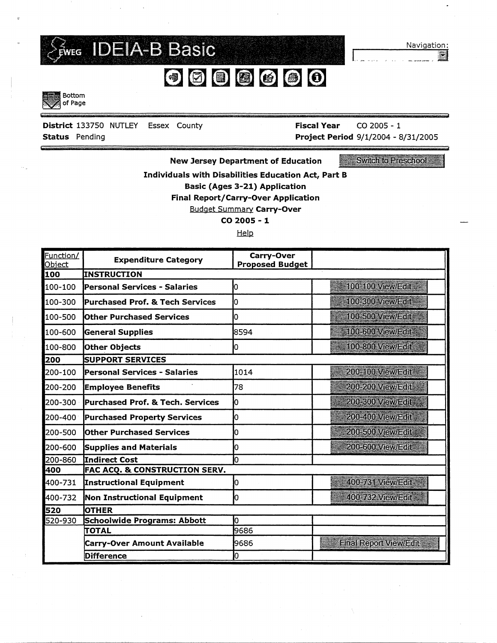

Navigation:

<u>ia</u>

 $\overline{\phantom{0}}$ 



•-- -p

District 133750 NUTLEY Essex County Status Pending **Project Period 9/1/2004 - 8/31/2005** 

---··----·

Fiscal Year CO 2005 - 1

.. -5 -

I...\_ .... -

New Jersey Department of Education

Switch to Preschool

Individuals with Disabilities Education Act, Part B Basic (Ages 3-21) Application Final Report/Carry-Over Application

Budget Summary Carry-Over

co **2005** - <sup>1</sup>

Help

| Function/<br><b>Object</b> | <b>Expenditure Category</b>                | Carry-Over<br><b>Proposed Budget</b> |                               |
|----------------------------|--------------------------------------------|--------------------------------------|-------------------------------|
| 100                        | <b>INSTRUCTION</b>                         |                                      |                               |
| 100-100                    | Personal Services - Salaries               | 0                                    | 100-100 View/Edit             |
| 100-300                    | <b>Purchased Prof. &amp; Tech Services</b> | Ю                                    | 100-300 View/Edit             |
| 100-500                    | <b>Other Purchased Services</b>            | lO                                   | 100-500 VrewlEdit             |
| 100-600                    | <b>General Supplies</b>                    | 8594                                 | 100-600 VIEWEGT               |
| 100-800                    | Other Objects                              | 0                                    | 100-800 View/Edit             |
| 200                        | <b>SUPPORT SERVICES</b>                    |                                      |                               |
| 200-100                    | Personal Services - Salaries               | 1014                                 | 200-100 View/Edit             |
| 200-200                    | <b>Employee Benefits</b>                   | 78                                   | 200-200 Vrew/Edit             |
| 200-300                    | Purchased Prof. & Tech. Services           | Ю                                    | 200-300 View/Edit             |
| 200-400                    | <b>Purchased Property Services</b>         | Ю                                    | 200-400 View/Edit             |
| 200-500                    | Other Purchased Services                   | 10                                   | 200-500 View/Edit             |
| 200-600                    | <b>Supplies and Materials</b>              | 0                                    | 200-600 View/Edit             |
| 200-860                    | lIndirect Cost                             | O                                    |                               |
| 400                        | FAC ACQ. & CONSTRUCTION SERV.              |                                      |                               |
| 400-731                    | Instructional Equipment                    | 0                                    | 400-731 View/Edit             |
| 400-732                    | Non Instructional Equipment                | O                                    | 400-762 ViewiEchc             |
| 520                        | <b>OTHER</b>                               |                                      |                               |
| 520-930                    | <b>Schoolwide Programs: Abbott</b>         | 0                                    |                               |
|                            | TOTAL                                      | 9686                                 |                               |
|                            | <b>Carry-Over Amount Available</b>         | 9686                                 | <b>Einal Report View/Edit</b> |
|                            | <b>Difference</b>                          | 0                                    |                               |